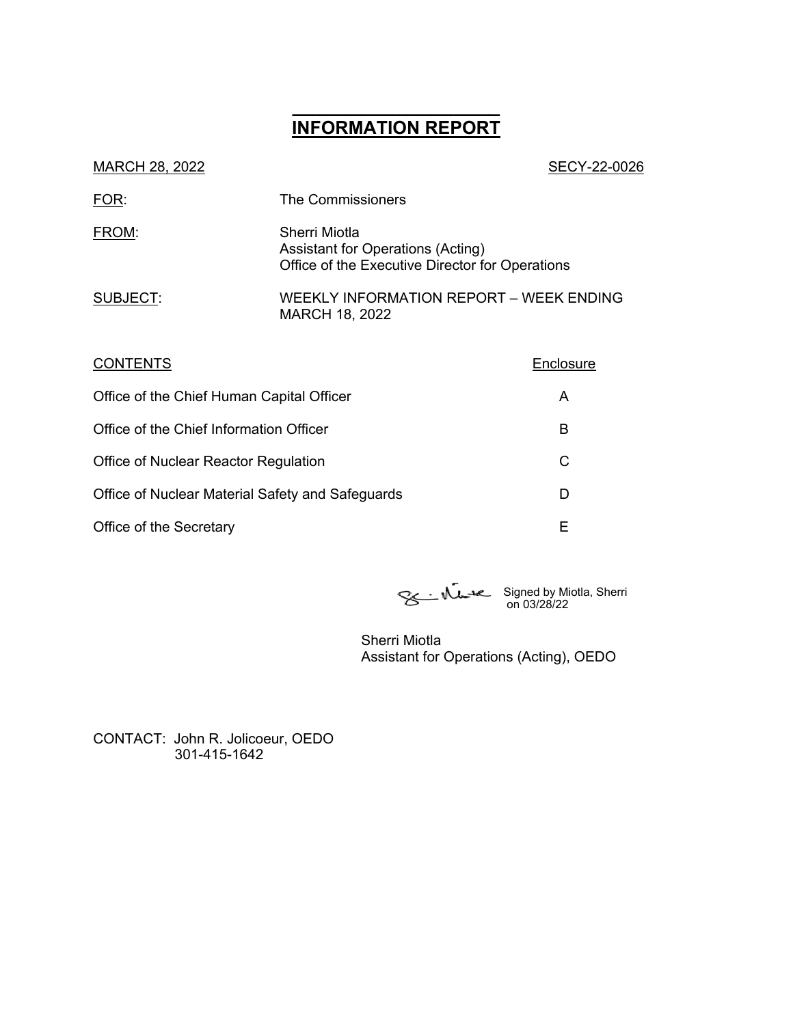# **\_\_\_\_\_\_\_\_\_\_\_\_\_\_\_\_\_\_ INFORMATION REPORT**

| SECY-22-0026                                                                                          |
|-------------------------------------------------------------------------------------------------------|
| The Commissioners                                                                                     |
| Sherri Miotla<br>Assistant for Operations (Acting)<br>Office of the Executive Director for Operations |
| WEEKLY INFORMATION REPORT – WEEK ENDING<br>MARCH 18, 2022                                             |
|                                                                                                       |

| <b>CONTENTS</b>                                  | Enclosure |
|--------------------------------------------------|-----------|
| Office of the Chief Human Capital Officer        | Α         |
| Office of the Chief Information Officer          | в         |
| Office of Nuclear Reactor Regulation             | С         |
| Office of Nuclear Material Safety and Safeguards | D         |
| Office of the Secretary                          | Е         |

Signed by Miotla, Sherri on 03/28/22

Sherri Miotla Assistant for Operations (Acting), OEDO

CONTACT: John R. Jolicoeur, OEDO 301-415-1642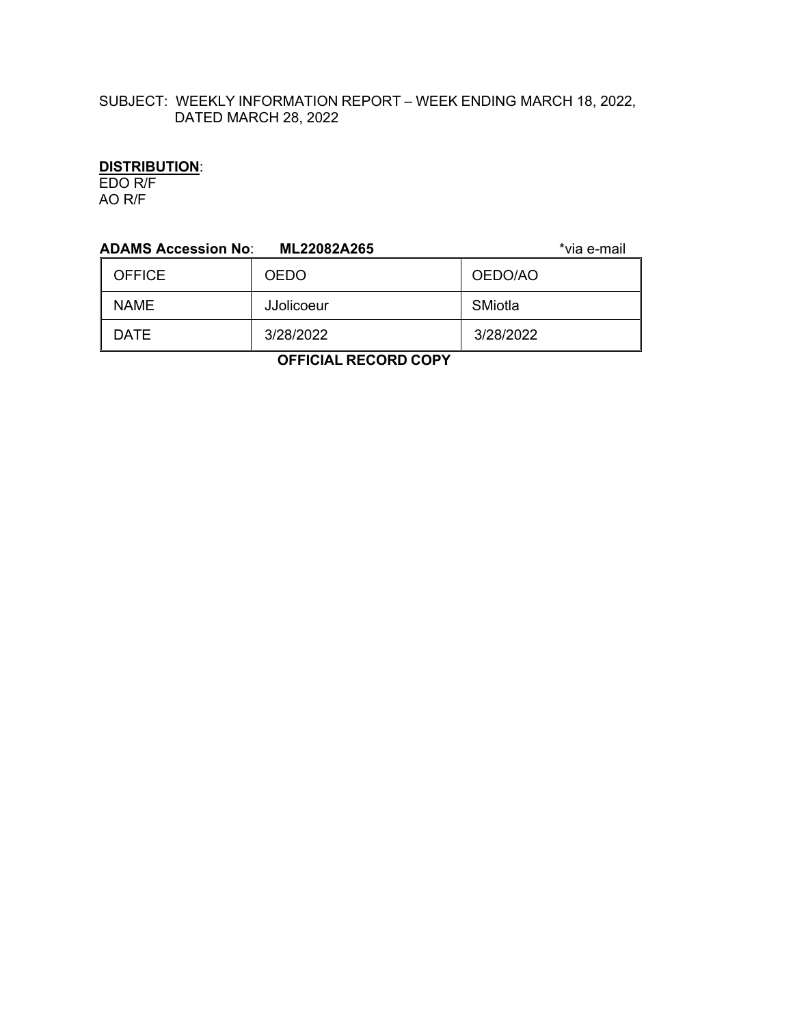# SUBJECT: WEEKLY INFORMATION REPORT – WEEK ENDING MARCH 18, 2022, DATED MARCH 28, 2022

# **DISTRIBUTION**:

EDO R/F AO R/F

| <b>ADAMS Accession No:</b> | ML22082A265 | *via e-mail |  |
|----------------------------|-------------|-------------|--|
| <b>OFFICE</b>              | <b>OEDO</b> | OEDO/AO     |  |
| <b>NAME</b>                | JJolicoeur  | SMiotla     |  |
| <b>DATE</b>                | 3/28/2022   | 3/28/2022   |  |
| ------                     |             |             |  |

 **OFFICIAL RECORD COPY**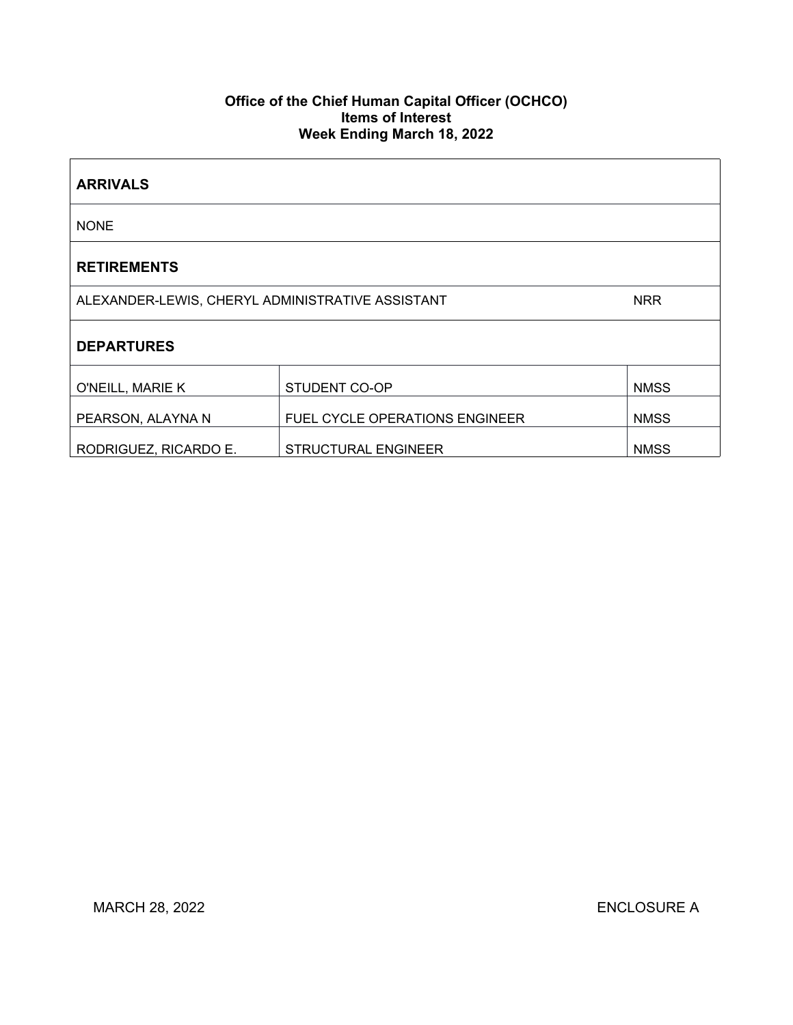## **Office of the Chief Human Capital Officer (OCHCO) Items of Interest Week Ending March 18, 2022**

| <b>ARRIVALS</b>                                                |                                       |             |  |
|----------------------------------------------------------------|---------------------------------------|-------------|--|
| <b>NONE</b>                                                    |                                       |             |  |
| <b>RETIREMENTS</b>                                             |                                       |             |  |
| ALEXANDER-LEWIS, CHERYL ADMINISTRATIVE ASSISTANT<br><b>NRR</b> |                                       |             |  |
| <b>DEPARTURES</b>                                              |                                       |             |  |
| O'NEILL, MARIE K                                               | STUDENT CO-OP                         | <b>NMSS</b> |  |
| PEARSON, ALAYNA N                                              | <b>FUEL CYCLE OPERATIONS ENGINEER</b> | <b>NMSS</b> |  |
| RODRIGUEZ, RICARDO E.                                          | <b>STRUCTURAL ENGINEER</b>            | <b>NMSS</b> |  |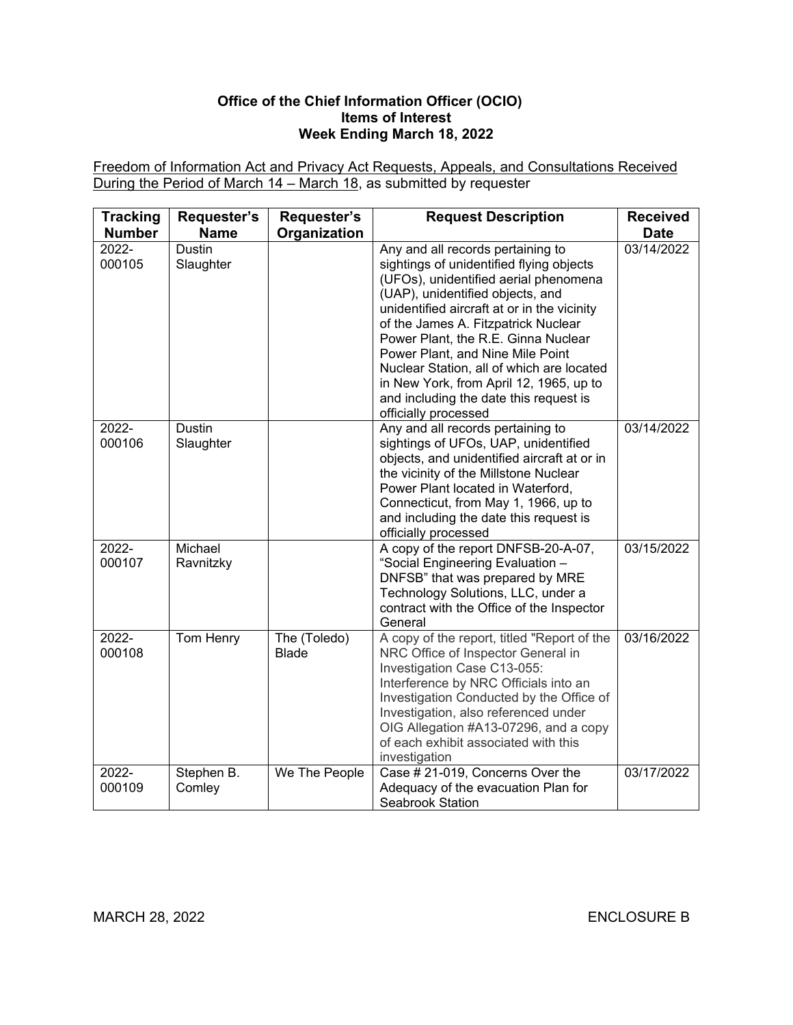## **Office of the Chief Information Officer (OCIO) Items of Interest Week Ending March 18, 2022**

Freedom of Information Act and Privacy Act Requests, Appeals, and Consultations Received During the Period of March 14 – March 18, as submitted by requester

| <b>Tracking</b>                  | Requester's                        | Requester's                  | <b>Request Description</b>                                                                                                                                                                                                                                                                                                                                                                                                                                                            | <b>Received</b>           |
|----------------------------------|------------------------------------|------------------------------|---------------------------------------------------------------------------------------------------------------------------------------------------------------------------------------------------------------------------------------------------------------------------------------------------------------------------------------------------------------------------------------------------------------------------------------------------------------------------------------|---------------------------|
| <b>Number</b><br>2022-<br>000105 | <b>Name</b><br>Dustin<br>Slaughter | Organization                 | Any and all records pertaining to<br>sightings of unidentified flying objects<br>(UFOs), unidentified aerial phenomena<br>(UAP), unidentified objects, and<br>unidentified aircraft at or in the vicinity<br>of the James A. Fitzpatrick Nuclear<br>Power Plant, the R.E. Ginna Nuclear<br>Power Plant, and Nine Mile Point<br>Nuclear Station, all of which are located<br>in New York, from April 12, 1965, up to<br>and including the date this request is<br>officially processed | <b>Date</b><br>03/14/2022 |
| 2022-<br>000106                  | Dustin<br>Slaughter                |                              | Any and all records pertaining to<br>sightings of UFOs, UAP, unidentified<br>objects, and unidentified aircraft at or in<br>the vicinity of the Millstone Nuclear<br>Power Plant located in Waterford,<br>Connecticut, from May 1, 1966, up to<br>and including the date this request is<br>officially processed                                                                                                                                                                      | 03/14/2022                |
| 2022-<br>000107                  | Michael<br>Ravnitzky               |                              | A copy of the report DNFSB-20-A-07,<br>"Social Engineering Evaluation -<br>DNFSB" that was prepared by MRE<br>Technology Solutions, LLC, under a<br>contract with the Office of the Inspector<br>General                                                                                                                                                                                                                                                                              | 03/15/2022                |
| 2022-<br>000108                  | Tom Henry                          | The (Toledo)<br><b>Blade</b> | A copy of the report, titled "Report of the<br>NRC Office of Inspector General in<br>Investigation Case C13-055:<br>Interference by NRC Officials into an<br>Investigation Conducted by the Office of<br>Investigation, also referenced under<br>OIG Allegation #A13-07296, and a copy<br>of each exhibit associated with this<br>investigation                                                                                                                                       | 03/16/2022                |
| 2022-<br>000109                  | Stephen B.<br>Comley               | We The People                | Case # 21-019, Concerns Over the<br>Adequacy of the evacuation Plan for<br><b>Seabrook Station</b>                                                                                                                                                                                                                                                                                                                                                                                    | 03/17/2022                |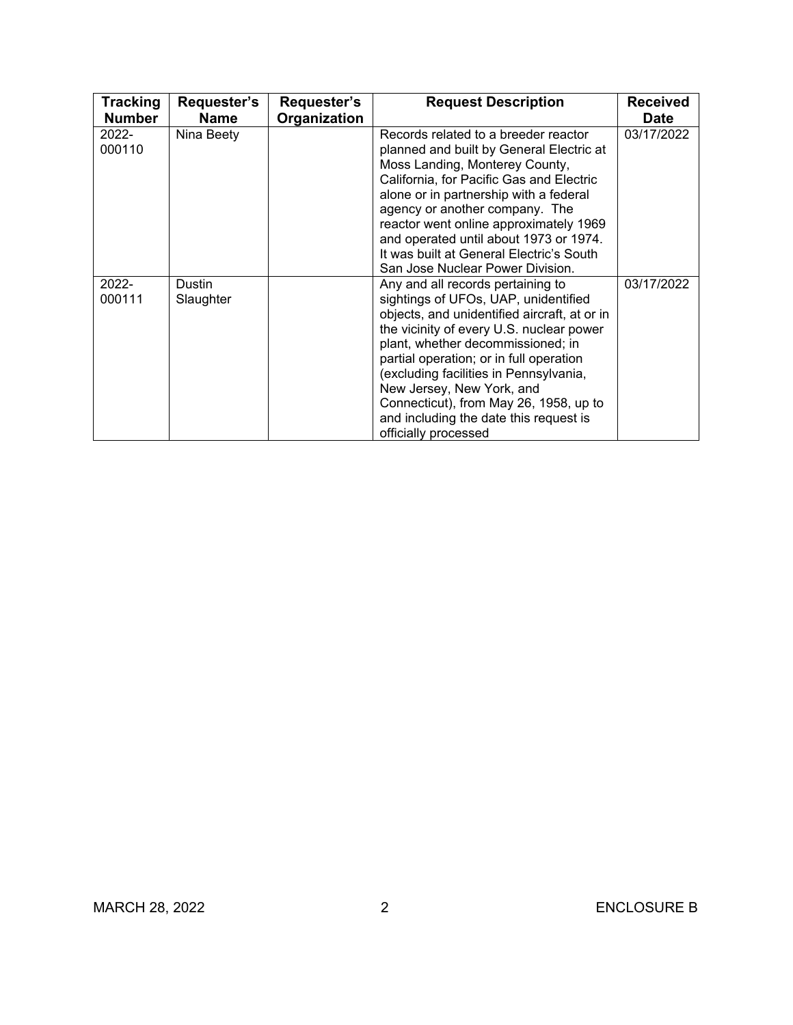| <b>Tracking</b>    | Requester's         | Requester's  | <b>Request Description</b>                                                                                                                                                                                                                                                                                                                                                                                                               | <b>Received</b> |
|--------------------|---------------------|--------------|------------------------------------------------------------------------------------------------------------------------------------------------------------------------------------------------------------------------------------------------------------------------------------------------------------------------------------------------------------------------------------------------------------------------------------------|-----------------|
| <b>Number</b>      | <b>Name</b>         | Organization |                                                                                                                                                                                                                                                                                                                                                                                                                                          | <b>Date</b>     |
| 2022-<br>000110    | Nina Beety          |              | Records related to a breeder reactor<br>planned and built by General Electric at<br>Moss Landing, Monterey County,<br>California, for Pacific Gas and Electric<br>alone or in partnership with a federal<br>agency or another company. The<br>reactor went online approximately 1969<br>and operated until about 1973 or 1974.<br>It was built at General Electric's South<br>San Jose Nuclear Power Division.                           | 03/17/2022      |
| $2022 -$<br>000111 | Dustin<br>Slaughter |              | Any and all records pertaining to<br>sightings of UFOs, UAP, unidentified<br>objects, and unidentified aircraft, at or in<br>the vicinity of every U.S. nuclear power<br>plant, whether decommissioned; in<br>partial operation; or in full operation<br>(excluding facilities in Pennsylvania,<br>New Jersey, New York, and<br>Connecticut), from May 26, 1958, up to<br>and including the date this request is<br>officially processed | 03/17/2022      |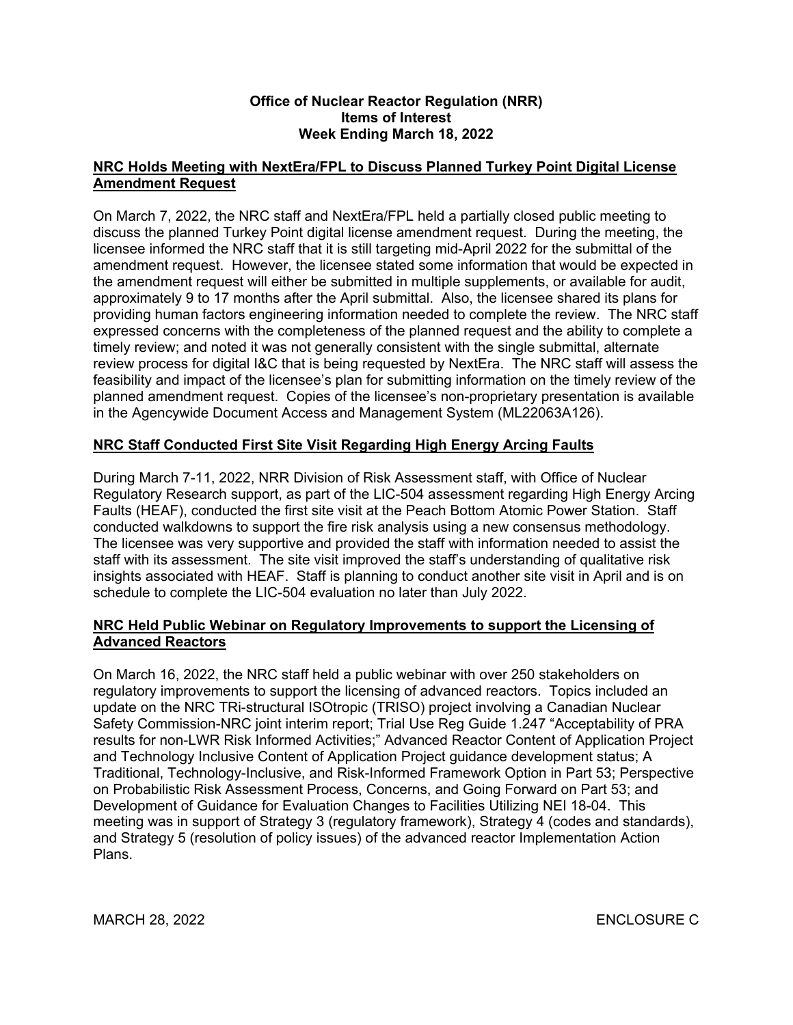## **Office of Nuclear Reactor Regulation (NRR) Items of Interest Week Ending March 18, 2022**

# **NRC Holds Meeting with NextEra/FPL to Discuss Planned Turkey Point Digital License Amendment Request**

On March 7, 2022, the NRC staff and NextEra/FPL held a partially closed public meeting to discuss the planned Turkey Point digital license amendment request. During the meeting, the licensee informed the NRC staff that it is still targeting mid-April 2022 for the submittal of the amendment request. However, the licensee stated some information that would be expected in the amendment request will either be submitted in multiple supplements, or available for audit, approximately 9 to 17 months after the April submittal. Also, the licensee shared its plans for providing human factors engineering information needed to complete the review. The NRC staff expressed concerns with the completeness of the planned request and the ability to complete a timely review; and noted it was not generally consistent with the single submittal, alternate review process for digital I&C that is being requested by NextEra. The NRC staff will assess the feasibility and impact of the licensee's plan for submitting information on the timely review of the planned amendment request. Copies of the licensee's non-proprietary presentation is available in the Agencywide Document Access and Management System (ML22063A126).

# **NRC Staff Conducted First Site Visit Regarding High Energy Arcing Faults**

During March 7-11, 2022, NRR Division of Risk Assessment staff, with Office of Nuclear Regulatory Research support, as part of the LIC-504 assessment regarding High Energy Arcing Faults (HEAF), conducted the first site visit at the Peach Bottom Atomic Power Station. Staff conducted walkdowns to support the fire risk analysis using a new consensus methodology. The licensee was very supportive and provided the staff with information needed to assist the staff with its assessment. The site visit improved the staff's understanding of qualitative risk insights associated with HEAF. Staff is planning to conduct another site visit in April and is on schedule to complete the LIC-504 evaluation no later than July 2022.

# **NRC Held Public Webinar on Regulatory Improvements to support the Licensing of Advanced Reactors**

On March 16, 2022, the NRC staff held a public webinar with over 250 stakeholders on regulatory improvements to support the licensing of advanced reactors. Topics included an update on the NRC TRi-structural ISOtropic (TRISO) project involving a Canadian Nuclear Safety Commission-NRC joint interim report; Trial Use Reg Guide 1.247 "Acceptability of PRA results for non-LWR Risk Informed Activities;" Advanced Reactor Content of Application Project and Technology Inclusive Content of Application Project guidance development status; A Traditional, Technology-Inclusive, and Risk-Informed Framework Option in Part 53; Perspective on Probabilistic Risk Assessment Process, Concerns, and Going Forward on Part 53; and Development of Guidance for Evaluation Changes to Facilities Utilizing NEI 18-04. This meeting was in support of Strategy 3 (regulatory framework), Strategy 4 (codes and standards), and Strategy 5 (resolution of policy issues) of the advanced reactor Implementation Action Plans.

MARCH 28, 2022 ENCLOSURE C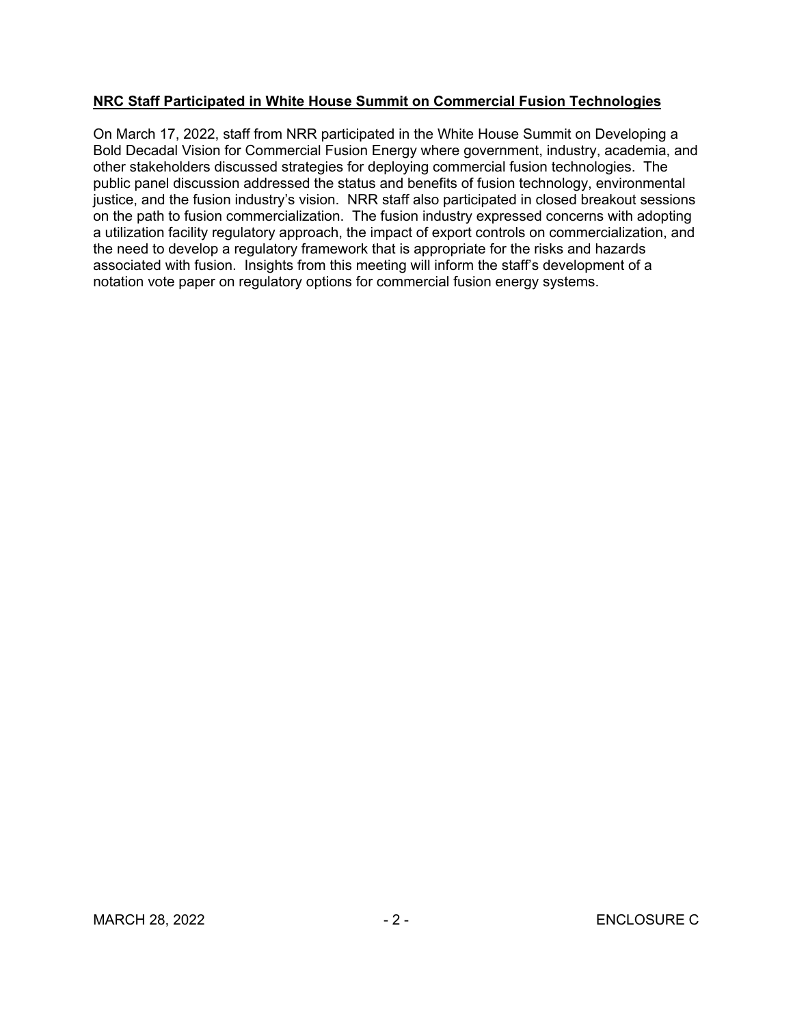# **NRC Staff Participated in White House Summit on Commercial Fusion Technologies**

On March 17, 2022, staff from NRR participated in the White House Summit on Developing a Bold Decadal Vision for Commercial Fusion Energy where government, industry, academia, and other stakeholders discussed strategies for deploying commercial fusion technologies. The public panel discussion addressed the status and benefits of fusion technology, environmental justice, and the fusion industry's vision. NRR staff also participated in closed breakout sessions on the path to fusion commercialization. The fusion industry expressed concerns with adopting a utilization facility regulatory approach, the impact of export controls on commercialization, and the need to develop a regulatory framework that is appropriate for the risks and hazards associated with fusion. Insights from this meeting will inform the staff's development of a notation vote paper on regulatory options for commercial fusion energy systems.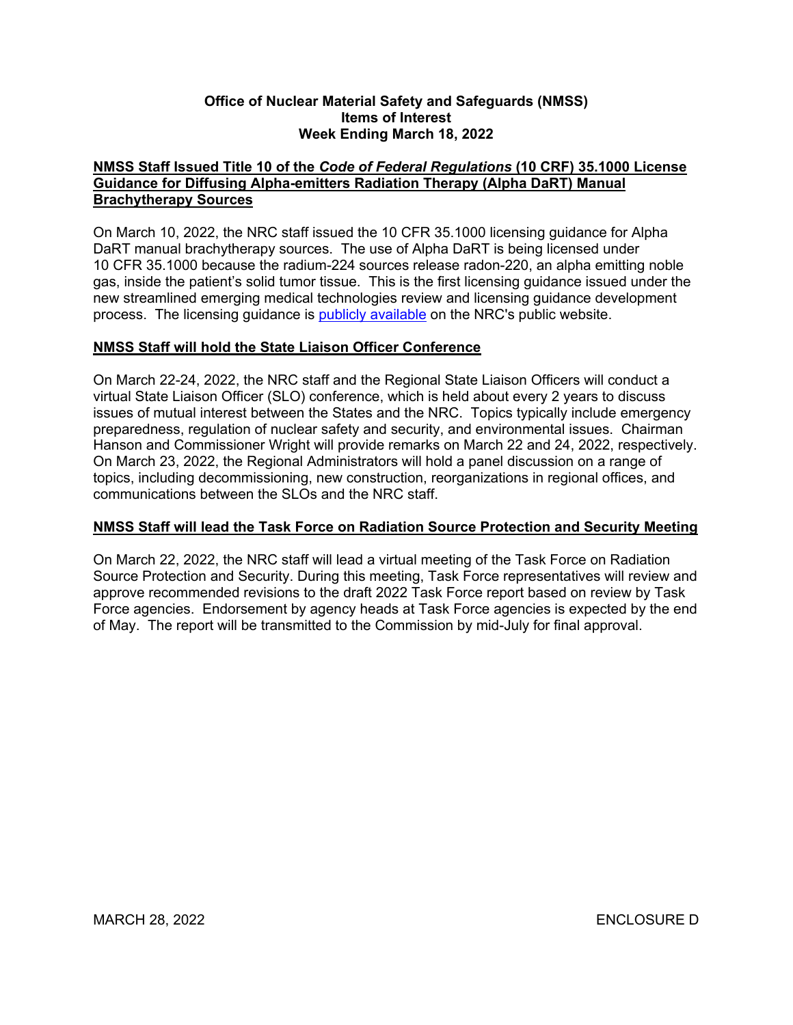### **Office of Nuclear Material Safety and Safeguards (NMSS) Items of Interest Week Ending March 18, 2022**

# **NMSS Staff Issued Title 10 of the** *Code of Federal Regulations* **(10 CRF) 35.1000 License Guidance for Diffusing Alpha-emitters Radiation Therapy (Alpha DaRT) Manual Brachytherapy Sources**

On March 10, 2022, the NRC staff issued the 10 CFR 35.1000 licensing guidance for Alpha DaRT manual brachytherapy sources. The use of Alpha DaRT is being licensed under 10 CFR 35.1000 because the radium-224 sources release radon-220, an alpha emitting noble gas, inside the patient's solid tumor tissue. This is the first licensing guidance issued under the new streamlined emerging medical technologies review and licensing guidance development process. The licensing guidance is [publicly available](https://www.nrc.gov/materials/miau/med-use-toolkit/emerg-licensed-med-tech.html) on the NRC's public website.

# **NMSS Staff will hold the State Liaison Officer Conference**

On March 22-24, 2022, the NRC staff and the Regional State Liaison Officers will conduct a virtual State Liaison Officer (SLO) conference, which is held about every 2 years to discuss issues of mutual interest between the States and the NRC. Topics typically include emergency preparedness, regulation of nuclear safety and security, and environmental issues. Chairman Hanson and Commissioner Wright will provide remarks on March 22 and 24, 2022, respectively. On March 23, 2022, the Regional Administrators will hold a panel discussion on a range of topics, including decommissioning, new construction, reorganizations in regional offices, and communications between the SLOs and the NRC staff.

# **NMSS Staff will lead the Task Force on Radiation Source Protection and Security Meeting**

On March 22, 2022, the NRC staff will lead a virtual meeting of the Task Force on Radiation Source Protection and Security. During this meeting, Task Force representatives will review and approve recommended revisions to the draft 2022 Task Force report based on review by Task Force agencies. Endorsement by agency heads at Task Force agencies is expected by the end of May. The report will be transmitted to the Commission by mid-July for final approval.